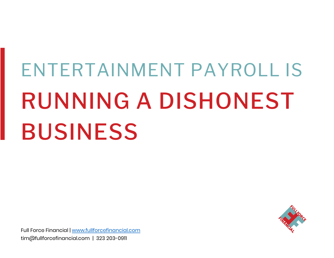# ENTERTAINMENT PAYROLL IS RUNNING A DISHONEST BUSINESS

Full Force Financial | [www.fullforcefinancial.com](https://www.fullforcefinancial.com/) tim@fullforcefinancial.com | 323 203-0911

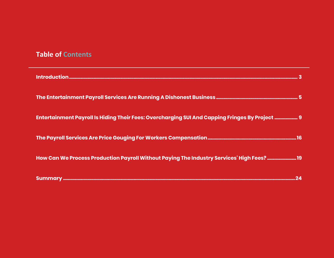## **Table of Contents**

| Introduction.                                                                                  |
|------------------------------------------------------------------------------------------------|
|                                                                                                |
| Entertainment Payroll Is Hiding Their Fees: Overcharging SUI And Capping Fringes By Project  9 |
|                                                                                                |
| How Can We Process Production Payroll Without Paying The Industry Services' High Fees? 19      |
|                                                                                                |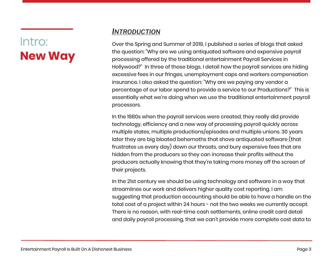# Intro: **New Way**

### <span id="page-2-0"></span>*INTRODUCTION*

Over the Spring and Summer of 2019, I published a series of blogs that asked the question: "Why are we using antiquated software and expensive payroll processing offered by the traditional entertainment Payroll Services in Hollywood?" In three of those blogs, I detail how the payroll services are hiding excessive fees in our fringes, unemployment caps and workers compensation insurance. I also asked the question: "Why are we paying any vendor a percentage of our labor spend to provide a service to our Productions?" This is essentially what we're doing when we use the traditional entertainment payroll processors.

In the 1980s when the payroll services were created, they really did provide technology, efficiency and a new way of processing payroll quickly across multiple states, multiple productions/episodes and multiple unions. 30 years later they are big bloated behemoths that shove antiquated software (that frustrates us every day) down our throats, and bury expensive fees that are hidden from the producers so they can increase their profits without the producers actually knowing that they're taking more money off the screen of their projects.

In the 21st century we should be using technology and software in a way that streamlines our work and delivers higher quality cost reporting. I am suggesting that production accounting should be able to have a handle on the total cost of a project within 24 hours - not the two weeks we currently accept. There is no reason, with real-time cash settlements, online credit card detail and daily payroll processing, that we can't provide more complete cost data to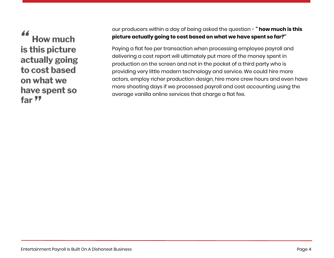44 **How much** is this picture actually going to cost based on what we have spent so far "

our producers within a day of being asked the question - **" how much is this picture actually going to cost based on what we have spent so far?"**

Paying a flat fee per transaction when processing employee payroll and delivering a cost report will ultimately put more of the money spent in production on the screen and not in the pocket of a third party who is providing very little modern technology and service. We could hire more actors, employ richer production design, hire more crew hours and even have more shooting days if we processed payroll and cost accounting using the average vanilla online services that charge a flat fee.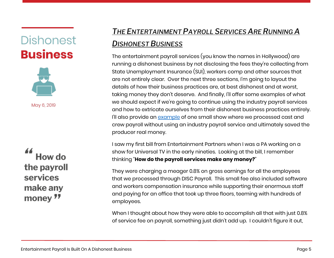# **Dishonest Business**



May 6, 2019

**How do** the payroll services make any money "

# <span id="page-4-0"></span>*THE E[NTERTAINMENT](https://www.fullforcefinancial.com/knowledge-base/2019/5/6/the-entertainment-payroll-services-are-running-a-dishonest-business) PAYROLL SERVICES ARE RUNNING A D[ISHONEST](https://www.fullforcefinancial.com/knowledge-base/2019/5/6/the-entertainment-payroll-services-are-running-a-dishonest-business) BUSINESS*

The entertainment payroll services (you know the names in Hollywood) are running a dishonest business by not disclosing the fees they're collecting from State Unemployment Insurance (SUI), workers comp and other sources that are not entirely clear. Over the next three sections, I'm going to layout the details of how their business practices are, at best dishonest and at worst, taking money they don't deserve. And finally, I'll offer some examples of what we should expect if we're going to continue using the industry payroll services and how to extricate ourselves from their dishonest business practices entirely. I'll also provide an [example](#page-16-0) of one small show where we processed cast and crew payroll without using an industry payroll service and ultimately saved the producer real money.

I saw my first bill from Entertainment Partners when I was a PA working on a show for Universal TV in the early nineties. Looking at the bill, I remember thinking "**How do the payroll services make any money?**"

They were charging a meager 0.8% on gross earnings for all the employees that we processed through DISC Payroll. This small fee also included software and workers compensation insurance while supporting their enormous staff and paying for an office that took up three floors, teeming with hundreds of employees.

When I thought about how they were able to accomplish all that with just 0.8% of service fee on payroll, something just didn't add up. I couldn't figure it out,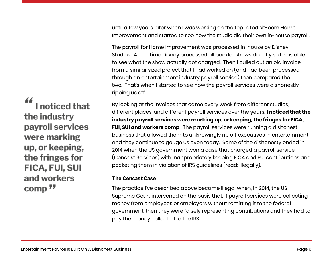until a few years later when I was working on the top rated sit-com Home Improvement and started to see how the studio did their own in-house payroll.

The payroll for Home Improvement was processed in-house by Disney Studios. At the time Disney processed all backlot shows directly so I was able to see what the show actually got charged. Then I pulled out an old invoice from a similar sized project that I had worked on (and had been processed through an entertainment industry payroll service) then compared the two. That's when I started to see how the payroll services were dishonestly ripping us off.

By looking at the invoices that came every week from different studios, different places, and different payroll services over the years, **I noticed that the industry payroll services were marking up, or keeping, the fringes for FICA, FUI, SUI and workers comp**. The payroll services were running a dishonest business that allowed them to unknowingly rip off executives in entertainment and they continue to gouge us even today. Some of the dishonesty ended in 2014 when the US government won a case that charged a payroll service (Cencast Services) with inappropriately keeping FICA and FUI contributions and pocketing them in violation of IRS guidelines (read: Illegally).

#### **The Cencast Case**

The practice I've described above became illegal when, in 2014, the US Supreme Court intervened on the basis that, if payroll services were collecting money from employees or employers without remitting it to the federal government, then they were falsely representing contributions and they had to pay the money collected to the IRS.

44 I noticed that the industry payroll services were marking up, or keeping, the fringes for **FICA, FUI, SUI** and workers comp<sup>77</sup>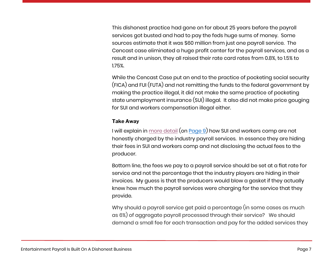This dishonest practice had gone on for about 25 years before the payroll services got busted and had to pay the feds huge sums of money. Some sources estimate that it was \$60 million from just one payroll service. The Cencast case eliminated a huge profit center for the payroll services, and as a result and in unison, they all raised their rate card rates from 0.8%, to 1.5% to 1.75%.

While the Cencast Case put an end to the practice of pocketing social security (FICA) and FUI (FUTA) and not remitting the funds to the federal government by making the practice illegal, it did not make the same practice of pocketing state unemployment insurance (SUI) illegal. It also did not make price gouging for SUI and workers compensation illegal either.

#### **Take Away**

I will explain in [more detail](#page-8-0) (on [Page 9\)](#page-8-0) how SUI and workers comp are not honestly charged by the industry payroll services. In essence they are hiding their fees in SUI and workers comp and not disclosing the actual fees to the producer.

Bottom line, the fees we pay to a payroll service should be set at a flat rate for service and not the percentage that the industry players are hiding in their invoices. My guess is that the producers would blow a gasket if they actually knew how much the payroll services were charging for the service that they provide.

Why should a payroll service get paid a percentage (in some cases as much as 6%) of aggregate payroll processed through their service? We should demand a small fee for each transaction and pay for the added services they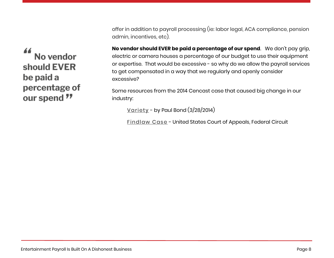offer in addition to payroll processing (ie: labor legal, ACA compliance, pension admin, incentives, etc).

**No vendor should EVER be paid a percentage of our spend**. We don't pay grip, electric or camera houses a percentage of our budget to use their equipment or expertise. That would be excessive - so why do we allow the payroll services to get compensated in a way that we regularly and openly consider excessive?

Some resources from the 2014 Cencast case that caused big change in our industry:

[Variety](https://www.hollywoodreporter.com/news/payroll-companies-60-million-tax-690768) - by Paul Bond (3/28/2014)

[Findlaw Case](https://caselaw.findlaw.com/us-federal-circuit/1644147.html) - United States Court of Appeals, Federal Circuit

44 No vendor should EVER be paid a percentage of our spend "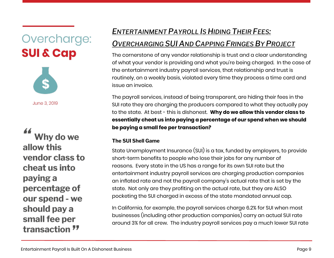<span id="page-8-0"></span>Overcharge: **SUI & Cap** 



June 3, 2019

Why do we allow this vendor class to cheat us into paying a percentage of our spend - we should pay a small fee per transaction "

# *E[NTERTAINMENT](https://www.fullforcefinancial.com/knowledge-base/2019/6/3/entertainment-payroll-is-hiding-their-fees-by-overcharging-for-sui-and-capping-fringes-by-project) PAYROLL IS HIDING THEIR FEES:*

## *O[VERCHARGING](https://www.fullforcefinancial.com/knowledge-base/2019/6/3/entertainment-payroll-is-hiding-their-fees-by-overcharging-for-sui-and-capping-fringes-by-project) SUI AND CAPPING FRINGES BY PROJECT*

The cornerstone of any vendor relationship is trust and a clear understanding of what your vendor is providing and what you're being charged. In the case of the entertainment industry payroll services, that relationship and trust is routinely, on a weekly basis, violated every time they process a time card and issue an invoice.

The payroll services, instead of being transparent, are hiding their fees in the SUI rate they are charging the producers compared to what they actually pay to the state. At best - this is dishonest. **Why do we allow this vendor class to essentially cheat us into paying a percentage of our spend when we should be paying a small fee per transaction?**

#### **The SUI Shell Game**

State Unemployment Insurance (SUI) is a tax, funded by employers, to provide short-term benefits to people who lose their jobs for any number of reasons. Every state in the US has a range for its own SUI rate but the entertainment industry payroll services are charging production companies an inflated rate and not the payroll company's actual rate that is set by the state. Not only are they profiting on the actual rate, but they are ALSO pocketing the SUI charged in excess of the state mandated annual cap.

In California, for example, the payroll services charge 6.2% for SUI when most businesses (including other production companies) carry an actual SUI rate around 3% for all crew. The industry payroll services pay a much lower SUI rate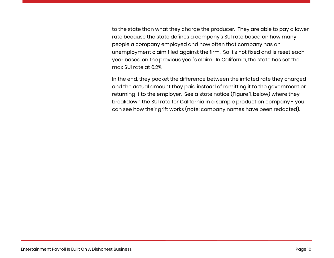to the state than what they charge the producer. They are able to pay a lower rate because the state defines a company's SUI rate based on how many people a company employed and how often that company has an unemployment claim filed against the firm. So it's not fixed and is reset each year based on the previous year's claim. In California, the state has set the max SUI rate at 6.2%.

In the end, they pocket the difference between the inflated rate they charged and the actual amount they paid instead of remitting it to the government or returning it to the employer. See a state notice (Figure 1, below) where they breakdown the SUI rate for California in a sample production company - you can see how their grift works (note: company names have been redacted).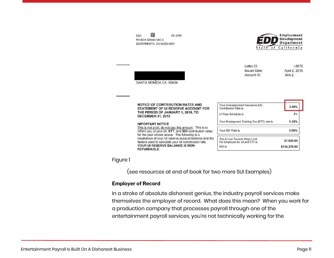DE 2088 **EDD** PO BOX 826880 MIC 4 SACRAMENTO, CA 94280-0001



| SANTA MONICA CA 90404                                                                                                                                                | Letter ID:<br><b>Issued Date:</b><br>Account ID:                                | L0872<br>April 2, 2015<br>$044 - 2$ |
|----------------------------------------------------------------------------------------------------------------------------------------------------------------------|---------------------------------------------------------------------------------|-------------------------------------|
| <b>NOTICE OF CONTRIBUTION RATES AND</b><br>STATEMENT OF UI RESERVE ACCOUNT FOR<br>THE PERIOD OF JANUARY 1, 2015, TO<br><b>DECEMBER 31, 2015</b>                      | Your Unemployment Insurance (UI)<br>Contribution Rate is<br>Ul Rate Schedule is | 3.40%<br>F+                         |
| <b>IMPORTANT NOTICE</b>                                                                                                                                              | Your Employment Training Tax (ETT) rate is                                      | 0.10%                               |
| This is not a bill, do not pay this amount. This is to<br>inform you of your UI. ETT, and SDI contribution rates<br>for the year shown above. The following is a     | Your SDI Rate is                                                                | 0.90%                               |
| breakdown of your UI reserve account balance and the<br>factors used to calculate your UI contribution rate<br>YOUR UI RESERVE BALANCE IS NON-<br><b>REFUNDABLE.</b> | The Annual Taxable Wage Limit<br>Per Employee for: UI and ETT is<br>SDI is      | \$7,000.00<br>\$104,378.00          |

#### Figure 1

(see resources at end of book for two more SUI Examples)

#### **Employer of Record**

**SA** 

In a stroke of absolute dishonest genius, the industry payroll services make themselves the employer of record. What does this mean? When you work for a production company that processes payroll through one of the entertainment payroll services, you're not technically working for the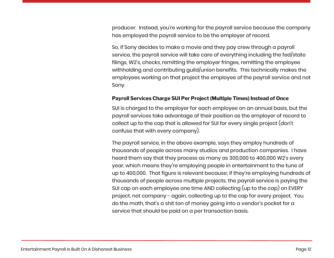producer. Instead, you're working for the payroll service because the company has employed the payroll service to be the employer of record.

So, if Sony decides to make a movie and they pay crew through a payroll service, the payroll service will take care of everything including the fed/state filings, W2's, checks, remitting the employer fringes, remitting the employee withholding and contributing guild/union benefits. This technically makes the employees working on that project the employee of the payroll service and not Sony.

#### **Payroll Services Charge SUI Per Project (Multiple Times) Instead of Once**

SUI is charged to the employer for each employee on an annual basis, but the payroll services take advantage of their position as the employer of record to collect up to the cap that is allowed for SUI for every single project (don't confuse that with every company).

The payroll service, in the above example, says they employ hundreds of thousands of people across many studios and production companies. I have heard them say that they process as many as 300,000 to 400,000 W2's every year, which means they're employing people in entertainment to the tune of up to 400,000. That figure is relevant because; if they're employing hundreds of thousands of people across multiple projects, the payroll service is paying the SUI cap on each employee one time AND collecting (up to the cap) on EVERY project, not company - again, collecting up to the cap for every project. You do the math, that's a shit ton of money going into a vendor's pocket for a service that should be paid on a per transaction basis.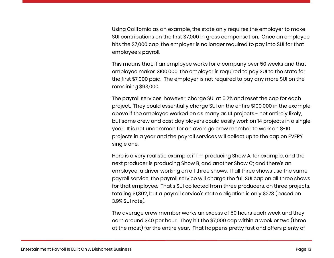Using California as an example, the state only requires the employer to make SUI contributions on the first \$7,000 in gross compensation. Once an employee hits the \$7,000 cap, the employer is no longer required to pay into SUI for that employee's payroll.

This means that, if an employee works for a company over 50 weeks and that employee makes \$100,000, the employer is required to pay SUI to the state for the first \$7,000 paid. The employer is not required to pay any more SUI on the remaining \$93,000.

The payroll services, however, charge SUI at 6.2% and reset the cap for each project. They could essentially charge SUI on the entire \$100,000 in the example above if the employee worked on as many as 14 projects - not entirely likely, but some crew and cast day players could easily work on 14 projects in a single year. It is not uncommon for an average crew member to work on 8-10 projects in a year and the payroll services will collect up to the cap on EVERY single one.

Here is a very realistic example: if I'm producing Show A, for example, and the next producer is producing Show B, and another Show C; and there's an employee; a driver working on all three shows. If all three shows use the same payroll service, the payroll service will charge the full SUI cap on all three shows for that employee. That's SUI collected from three producers, on three projects, totaling \$1,302, but a payroll service's state obligation is only \$273 (based on 3.9% SUI rate).

The average crew member works an excess of 50 hours each week and they earn around \$40 per hour. They hit the \$7,000 cap within a week or two (three at the most) for the entire year. That happens pretty fast and offers plenty of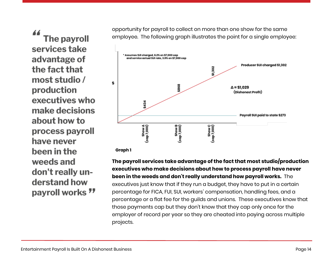44 The payroll services take advantage of the fact that most studio / production executives who make decisions about how to process payroll have never been in the weeds and don't really understand how payroll works " opportunity for payroll to collect on more than one show for the same employee. The following graph illustrates the point for a single employee:



 **Graph 1**

**The payroll services take advantage of the fact that most studio/production executives who make decisions about how to process payroll have never been in the weeds and don't really understand how payroll works.** The executives just know that if they run a budget, they have to put in a certain percentage for FICA, FUI, SUI, workers' compensation, handling fees, and a percentage or a flat fee for the guilds and unions. These executives know that those payments cap but they don't know that they cap only once for the employer of record per year so they are cheated into paying across multiple projects.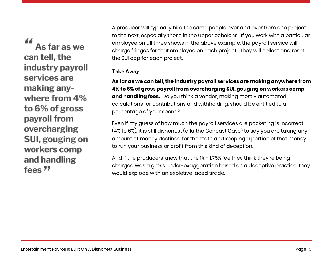44 As far as we can tell, the industry payroll services are making anywhere from 4% to 6% of gross payroll from overcharging SUI, gouging on workers comp and handling fees<sup>"</sup>

A producer will typically hire the same people over and over from one project to the next, especially those in the upper echelons. If you work with a particular employee on all three shows in the above example, the payroll service will charge fringes for that employee on each project. They will collect and reset the SUI cap for each project.

#### **Take Away**

**As far as we can tell, the industry payroll services are making anywhere from 4% to 6% of gross payroll from overcharging SUI, gouging on workers comp and handling fees.** Do you think a vendor, making mostly automated calculations for contributions and withholding, should be entitled to a percentage of your spend?

Even if my guess of how much the payroll services are pocketing is incorrect (4% to 6%), it is still dishonest (a la the Cencast Case) to say you are taking any amount of money destined for the state and keeping a portion of that money to run your business or profit from this kind of deception.

And if the producers knew that the 1% - 1.75% fee they think they're being charged was a gross under-exaggeration based on a deceptive practice, they would explode with an expletive laced tirade.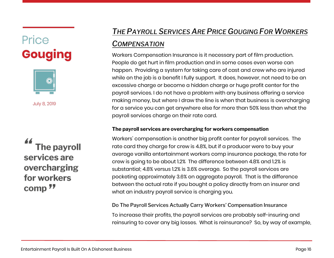# <span id="page-15-0"></span>Price **Gouging**



July 8, 2019

The payroll services are overcharging for workers comp<sup>77</sup>

# *THE PAYROLL S[ERVICES](https://www.fullforcefinancial.com/knowledge-base/2019/7/8/the-payroll-services-are-price-gouging-for-workers-compensation) ARE PRICE GOUGING FOR WORKERS*

### *C[OMPENSATION](https://www.fullforcefinancial.com/knowledge-base/2019/7/8/the-payroll-services-are-price-gouging-for-workers-compensation)*

Workers Compensation Insurance is it necessary part of film production. People do get hurt in film production and in some cases even worse can happen. Providing a system for taking care of cast and crew who are injured while on the job is a benefit I fully support. It does, however, not need to be an excessive charge or become a hidden charge or huge profit center for the payroll services. I do not have a problem with any business offering a service making money, but where I draw the line is when that business is overcharging for a service you can get anywhere else for more than 50% less than what the payroll services charge on their rate card.

#### **The payroll services are overcharging for workers compensation**

Workers' compensation is another big profit center for payroll services. The rate card they charge for crew is 4.8%, but if a producer were to buy your average vanilla entertainment workers comp insurance package, the rate for crew is going to be about 1.2% The difference between 4.8% and 1.2% is substantial; 4.8% versus 1.2% is 3.6% overage. So the payroll services are pocketing approximately 3.6% on aggregate payroll. That is the difference between the actual rate if you bought a policy directly from an insurer and what an industry payroll service is charging you.

Do The Payroll Services Actually Carry Workers' Compensation Insurance To increase their profits, the payroll services are probably self-insuring and reinsuring to cover any big losses. What is reinsurance? So, by way of example,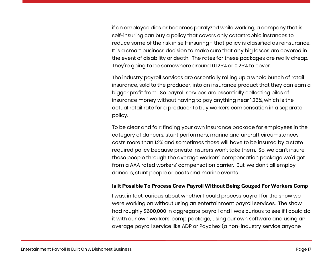if an employee dies or becomes paralyzed while working, a company that is self-insuring can buy a policy that covers only catastrophic instances to reduce some of the risk in self-insuring - that policy is classified as reinsurance. It is a smart business decision to make sure that any big losses are covered in the event of disability or death. The rates for these packages are really cheap. They're going to be somewhere around 0.125% or 0.25% to cover.

The industry payroll services are essentially rolling up a whole bunch of retail insurance, sold to the producer, into an insurance product that they can earn a bigger profit from. So payroll services are essentially collecting piles of insurance money without having to pay anything near 1.25%, which is the actual retail rate for a producer to buy workers compensation in a separate policy.

To be clear and fair: finding your own insurance package for employees in the category of dancers, stunt performers, marine and aircraft circumstances costs more than 1.2% and sometimes those will have to be insured by a state required policy because private insurers won't take them. So, we can't insure those people through the average workers' compensation package we'd get from a AAA rated workers' compensation carrier. But, we don't all employ dancers, stunt people or boats and marine events.

#### <span id="page-16-0"></span>**Is It Possible To Process Crew Payroll Without Being Gouged For Workers Comp**

I was, in fact, curious about whether I could process payroll for the show we were working on without using an entertainment payroll services. The show had roughly \$600,000 in aggregate payroll and I was curious to see if I could do it with our own workers' comp package, using our own software and using an average payroll service like ADP or Paychex (a non-industry service anyone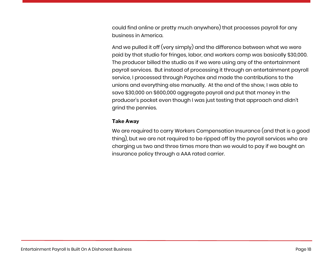could find online or pretty much anywhere) that processes payroll for any business in America.

And we pulled it off (very simply) and the difference between what we were paid by that studio for fringes, labor, and workers comp was basically \$30,000. The producer billed the studio as if we were using any of the entertainment payroll services. But instead of processing it through an entertainment payroll service, I processed through Paychex and made the contributions to the unions and everything else manually. At the end of the show, I was able to save \$30,000 on \$600,000 aggregate payroll and put that money in the producer's pocket even though I was just testing that approach and didn't grind the pennies.

#### **Take Away**

We are required to carry Workers Compensation Insurance (and that is a good thing), but we are not required to be ripped off by the payroll services who are charging us two and three times more than we would to pay if we bought an insurance policy through a AAA rated carrier.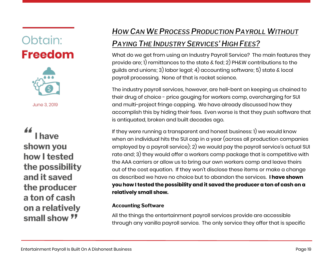# <span id="page-18-0"></span>Obtain: **Freedom**



June 3, 2019

# I have shown you how I tested the possibility and it saved the producer a ton of cash on a relatively small show "

# *HOW CAN WE PROCESS P[RODUCTION](https://www.fullforcefinancial.com/knowledge-base/2019/8/5/how-can-we-process-production-payroll-without-paying-the-industry-services-high-fees) PAYROLL WITHOUT*

## *PAYING THE I[NDUSTRY](https://www.fullforcefinancial.com/knowledge-base/2019/8/5/how-can-we-process-production-payroll-without-paying-the-industry-services-high-fees) SERVICES' HIGH FEES?*

What do we get from using an Industry Payroll Service? The main features they provide are; 1) remittances to the state & fed; 2) PH&W contributions to the guilds and unions; 3) labor legal; 4) accounting software; 5) state & local payroll processing. None of that is rocket science.

The industry payroll services, however, are hell-bent on keeping us chained to their drug of choice - price gouging for workers comp, overcharging for SUI and multi-project fringe capping. We have already discussed how they accomplish this by hiding their fees. Even worse is that they push software that is antiquated, broken and built decades ago.

If they were running a transparent and honest business: 1) we would know when an individual hits the SUI cap in a year (across all production companies employed by a payroll service); 2) we would pay the payroll service's actual SUI rate and; 3) they would offer a workers comp package that is competitive with the AAA carriers or allow us to bring our own workers comp and leave theirs out of the cost equation. If they won't disclose these items or make a change as described we have no choice but to abandon the services. **I have shown you how I tested the possibility and it saved the producer a ton of cash on a relatively small show.**

#### **Accounting Software**

All the things the entertainment payroll services provide are accessible through any vanilla payroll service. The only service they offer that is specific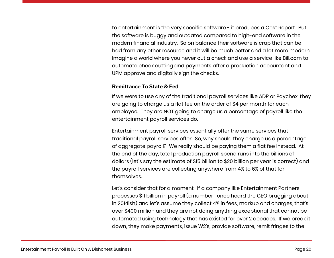to entertainment is the very specific software - it produces a Cost Report. But the software is buggy and outdated compared to high-end software in the modern financial industry. So on balance their software is crap that can be had from any other resource and it will be much better and a lot more modern. Imagine a world where you never cut a check and use a service like Bill.com to automate check cutting and payments after a production accountant and UPM approve and digitally sign the checks.

#### **Remittance To State & Fed**

If we were to use any of the traditional payroll services like ADP or Paychex, they are going to charge us a flat fee on the order of \$4 per month for each employee. They are NOT going to charge us a percentage of payroll like the entertainment payroll services do.

Entertainment payroll services essentially offer the same services that traditional payroll services offer. So, why should they charge us a percentage of aggregate payroll? We really should be paying them a flat fee instead. At the end of the day, total production payroll spend runs into the billions of dollars (let's say the estimate of \$15 billion to \$20 billion per year is correct) and the payroll services are collecting anywhere from 4% to 6% of that for themselves.

Let's consider that for a moment. If a company like Entertainment Partners processes \$11 billion in payroll (a number I once heard the CEO bragging about in 2014ish) and let's assume they collect 4% in fees, markup and charges, that's over \$400 million and they are not doing anything exceptional that cannot be automated using technology that has existed for over 2 decades. If we break it down, they make payments, issue W2's, provide software, remit fringes to the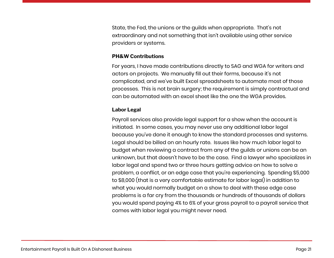State, the Fed, the unions or the guilds when appropriate. That's not extraordinary and not something that isn't available using other service providers or systems.

#### **PH&W Contributions**

For years, I have made contributions directly to SAG and WGA for writers and actors on projects. We manually fill out their forms, because it's not complicated, and we've built Excel spreadsheets to automate most of those processes. This is not brain surgery; the requirement is simply contractual and can be automated with an excel sheet like the one the WGA provides.

#### **Labor Legal**

Payroll services also provide legal support for a show when the account is initiated. In some cases, you may never use any additional labor legal because you've done it enough to know the standard processes and systems. Legal should be billed on an hourly rate. Issues like how much labor legal to budget when reviewing a contract from any of the guilds or unions can be an unknown, but that doesn't have to be the case. Find a lawyer who specializes in labor legal and spend two or three hours getting advice on how to solve a problem, a conflict, or an edge case that you're experiencing. Spending \$5,000 to \$8,000 (that is a very comfortable estimate for labor legal) in addition to what you would normally budget on a show to deal with these edge case problems is a far cry from the thousands or hundreds of thousands of dollars you would spend paying 4% to 6% of your gross payroll to a payroll service that comes with labor legal you might never need.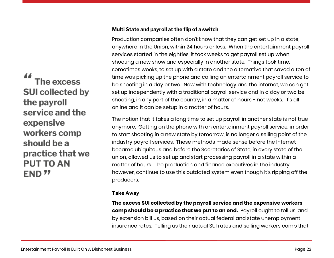# 44 The excess **SUI collected by** the payroll service and the expensive workers comp should be a practice that we **PUT TO AN END 77**

#### **Multi State and payroll at the flip of a switch**

Production companies often don't know that they can get set up in a state, anywhere in the Union, within 24 hours or less. When the entertainment payroll services started in the eighties, it took weeks to get payroll set up when shooting a new show and especially in another state. Things took time, sometimes weeks, to set up with a state and the alternative that saved a ton of time was picking up the phone and calling an entertainment payroll service to be shooting in a day or two. Now with technology and the internet, we can get set up independently with a traditional payroll service and in a day or two be shooting, in any part of the country, in a matter of hours - not weeks. It's all online and it can be setup in a matter of hours.

The notion that it takes a long time to set up payroll in another state is not true anymore. Getting on the phone with an entertainment payroll service, in order to start shooting in a new state by tomorrow, is no longer a selling point of the industry payroll services. These methods made sense before the Internet became ubiquitous and before the Secretaries of State, in every state of the union, allowed us to set up and start processing payroll in a state within a matter of hours. The production and finance executives in the industry, however, continue to use this outdated system even though it's ripping off the producers.

#### **Take Away**

**The excess SUI collected by the payroll service and the expensive workers comp should be a practice that we put to an end.** Payroll ought to tell us, and by extension bill us, based on their actual federal and state unemployment insurance rates. Telling us their actual SUI rates and selling workers comp that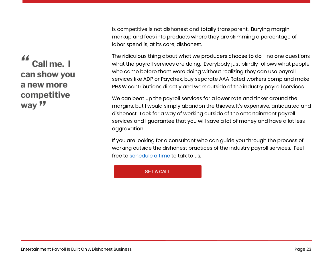is competitive is not dishonest and totally transparent. Burying margin, markup and fees into products where they are skimming a percentage of labor spend is, at its core, dishonest.

The ridiculous thing about what we producers choose to do - no one questions what the payroll services are doing. Everybody just blindly follows what people who came before them were doing without realizing they can use payroll services like ADP or Paychex, buy separate AAA Rated workers comp and make PH&W contributions directly and work outside of the industry payroll services.

We can beat up the payroll services for a lower rate and tinker around the margins, but I would simply abandon the thieves. It's expensive, antiquated and dishonest. Look for a way of working outside of the entertainment payroll services and I guarantee that you will save a lot of money and have a lot less aggravation.

If you are looking for a consultant who can guide you through the process of working outside the dishonest practices of the industry payroll services. Feel free to [schedule a time](http://ebook.fullforcefinancial.com/ebook-schedule-page) to talk to us.

#### **SET A CALL**

44 Call me. I can show you a new more competitive way 77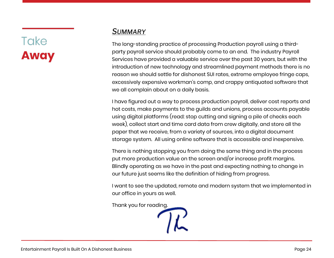# Take<br>**Away**

## <span id="page-23-0"></span>*SUMMARY*

The long-standing practice of processing Production payroll using a thirdparty payroll service should probably come to an end. The industry Payroll Services have provided a valuable service over the past 30 years, but with the introduction of new technology and streamlined payment methods there is no reason we should settle for dishonest SUI rates, extreme employee fringe caps, excessively expensive workman's comp, and crappy antiquated software that we all complain about on a daily basis.

I have figured out a way to process production payroll, deliver cost reports and hot costs, make payments to the guilds and unions, process accounts payable using digital platforms (read: stop cutting and signing a pile of checks each week), collect start and time card data from crew digitally, and store all the paper that we receive, from a variety of sources, into a digital document storage system. All using online software that is accessible and inexpensive.

There is nothing stopping you from doing the same thing and in the process put more production value on the screen and/or increase profit margins. Blindly operating as we have in the past and expecting nothing to change in our future just seems like the definition of hiding from progress.

I want to see the updated, remote and modern system that we implemented in our office in yours as well.

Thank you for reading.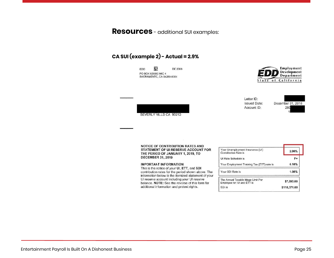**Resources** - additional SUI examples:

#### **CA SUI (example 2) - Actual = 2.9%**

龖 EDD **DE 2088** PO BOX 826880 MIC 4 SACRAMENTO, CA 94280-0001

BEVERLY HILLS CA 90212



Letter ID: **Issued Date:** Account ID:



NOTICE OF CONTRIBUTION RATES AND STATEMENT OF UI RESERVE ACCOUNT FOR THE PERIOD OF JANUARY 1, 2019, TO **DECEMBER 31, 2019** 

#### **IMPORTANT INFORMATION**

This is the notice of your UI, ETT, and SDI contribution rates for the period shown above. The information below is the itemized statement of your UI reserve account including your UI reserve balance. NOTE: See the reverse of this form for additional information and protest rights.

| Your Unemployment Insurance (UI)<br>Contribution Rate is         | 2.90%        |
|------------------------------------------------------------------|--------------|
| <b>UI Rate Schedule is</b>                                       | F+           |
| Your Employment Training Tax (ETT) rate is                       | 0.10%        |
| Your SDI Rate is                                                 | 1.00%        |
| The Annual Taxable Wage Limit Per<br>Employee for: UI and ETT is | \$7,000.00   |
| SDI is                                                           | \$118,371.00 |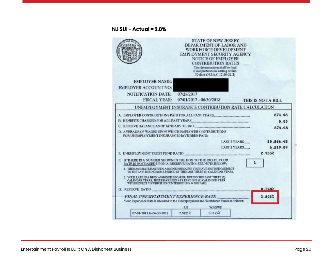#### **NJ SUI - Actual = 2.8%**